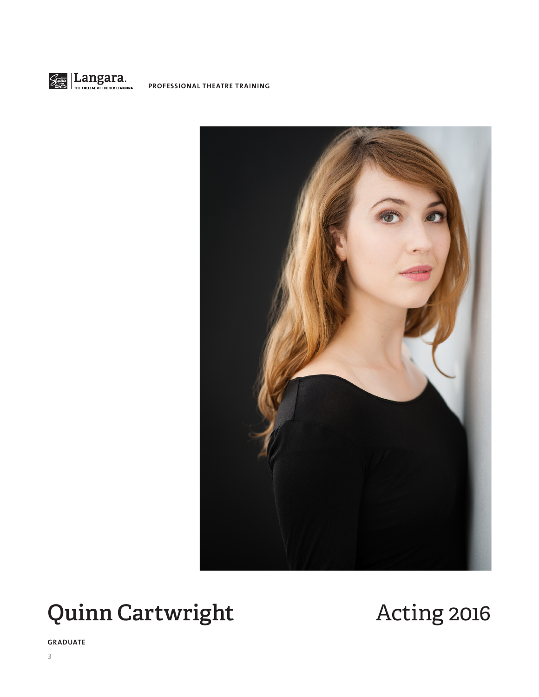



# **Quinn Cartwright Acting 2016**

**GRADUATE**